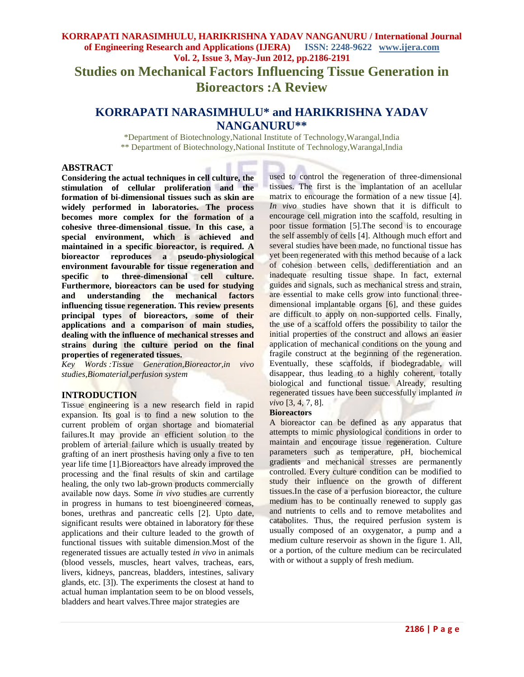# **KORRAPATI NARASIMHULU, HARIKRISHNA YADAV NANGANURU / International Journal of Engineering Research and Applications (IJERA) ISSN: 2248-9622 www.ijera.com Vol. 2, Issue 3, May-Jun 2012, pp.2186-2191 Studies on Mechanical Factors Influencing Tissue Generation in Bioreactors :A Review**

# **KORRAPATI NARASIMHULU\* and HARIKRISHNA YADAV NANGANURU\*\***

\*Department of Biotechnology,National Institute of Technology,Warangal,India \*\* Department of Biotechnology,National Institute of Technology,Warangal,India

#### **ABSTRACT**

**Considering the actual techniques in cell culture, the stimulation of cellular proliferation and the formation of bi-dimensional tissues such as skin are widely performed in laboratories. The process becomes more complex for the formation of a cohesive three-dimensional tissue. In this case, a special environment, which is achieved and maintained in a specific bioreactor, is required. A bioreactor reproduces a pseudo-physiological environment favourable for tissue regeneration and specific to three-dimensional cell culture. specific to three-dimensional cell culture. Furthermore, bioreactors can be used for studying and understanding the mechanical factors influencing tissue regeneration. This review presents principal types of bioreactors, some of their applications and a comparison of main studies, dealing with the influence of mechanical stresses and strains during the culture period on the final properties of regenerated tissues.**

*Key Words :Tissue Generation,Bioreactor,in vivo studies,Biomaterial,perfusion system*

# **INTRODUCTION**

Tissue engineering is a new research field in rapid expansion. Its goal is to find a new solution to the current problem of organ shortage and biomaterial failures.It may provide an efficient solution to the problem of arterial failure which is usually treated by grafting of an inert prosthesis having only a five to ten year life time [1].Bioreactors have already improved the processing and the final results of skin and cartilage healing, the only two lab-grown products commercially available now days. Some *in vivo* studies are currently in progress in humans to test bioengineered corneas, bones, urethras and pancreatic cells [2]. Upto date, significant results were obtained in laboratory for these applications and their culture leaded to the growth of functional tissues with suitable dimension.Most of the regenerated tissues are actually tested *in vivo* in animals (blood vessels, muscles, heart valves, tracheas, ears, livers, kidneys, pancreas, bladders, intestines, salivary glands, etc. [3]). The experiments the closest at hand to actual human implantation seem to be on blood vessels, bladders and heart valves.Three major strategies are

used to control the regeneration of three-dimensional tissues. The first is the implantation of an acellular matrix to encourage the formation of a new tissue [4]. *In vivo* studies have shown that it is difficult to encourage cell migration into the scaffold, resulting in poor tissue formation [5].The second is to encourage the self assembly of cells [4]. Although much effort and several studies have been made, no functional tissue has yet been regenerated with this method because of a lack of cohesion between cells, dedifferentiation and an inadequate resulting tissue shape. In fact, external guides and signals, such as mechanical stress and strain, are essential to make cells grow into functional threedimensional implantable organs [6], and these guides are difficult to apply on non-supported cells. Finally, the use of a scaffold offers the possibility to tailor the initial properties of the construct and allows an easier application of mechanical conditions on the young and fragile construct at the beginning of the regeneration. Eventually, these scaffolds, if biodegradable, will disappear, thus leading to a highly coherent, totally biological and functional tissue. Already, resulting regenerated tissues have been successfully implanted *in vivo* [3, 4, 7, 8].

#### **Bioreactors**

A bioreactor can be defined as any apparatus that attempts to mimic physiological conditions in order to maintain and encourage tissue regeneration. Culture parameters such as temperature, pH, biochemical gradients and mechanical stresses are permanently controlled. Every culture condition can be modified to study their influence on the growth of different tissues.In the case of a perfusion bioreactor, the culture medium has to be continually renewed to supply gas and nutrients to cells and to remove metabolites and catabolites. Thus, the required perfusion system is usually composed of an oxygenator, a pump and a medium culture reservoir as shown in the figure 1. All, or a portion, of the culture medium can be recirculated with or without a supply of fresh medium.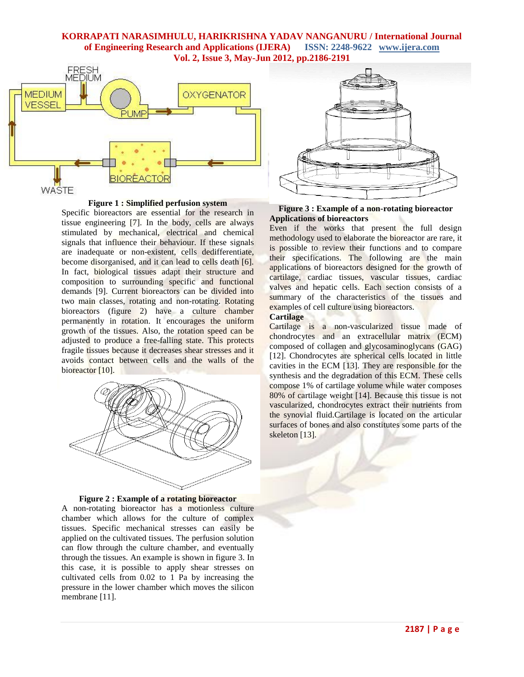

**Figure 1 : Simplified perfusion system**

Specific bioreactors are essential for the research in tissue engineering [7]. In the body, cells are always stimulated by mechanical, electrical and chemical signals that influence their behaviour. If these signals are inadequate or non-existent, cells dedifferentiate, become disorganised, and it can lead to cells death [6]. In fact, biological tissues adapt their structure and composition to surrounding specific and functional demands [9]. Current bioreactors can be divided into two main classes, rotating and non-rotating. Rotating bioreactors (figure 2) have a culture chamber permanently in rotation. It encourages the uniform growth of the tissues. Also, the rotation speed can be adjusted to produce a free-falling state. This protects fragile tissues because it decreases shear stresses and it avoids contact between cells and the walls of the bioreactor [10].



**Figure 2 : Example of a rotating bioreactor**

A non-rotating bioreactor has a motionless culture chamber which allows for the culture of complex tissues. Specific mechanical stresses can easily be applied on the cultivated tissues. The perfusion solution can flow through the culture chamber, and eventually through the tissues. An example is shown in figure 3. In this case, it is possible to apply shear stresses on cultivated cells from 0.02 to 1 Pa by increasing the pressure in the lower chamber which moves the silicon membrane [11].





Even if the works that present the full design methodology used to elaborate the bioreactor are rare, it is possible to review their functions and to compare their specifications. The following are the main applications of bioreactors designed for the growth of cartilage, cardiac tissues, vascular tissues, cardiac valves and hepatic cells. Each section consists of a summary of the characteristics of the tissues and examples of cell culture using bioreactors.

#### **Cartilage**

Cartilage is a non-vascularized tissue made of chondrocytes and an extracellular matrix (ECM) composed of collagen and glycosaminoglycans (GAG) [12]. Chondrocytes are spherical cells located in little cavities in the ECM [13]. They are responsible for the synthesis and the degradation of this ECM. These cells compose 1% of cartilage volume while water composes 80% of cartilage weight [14]. Because this tissue is not vascularized, chondrocytes extract their nutrients from the synovial fluid.Cartilage is located on the articular surfaces of bones and also constitutes some parts of the skeleton [13].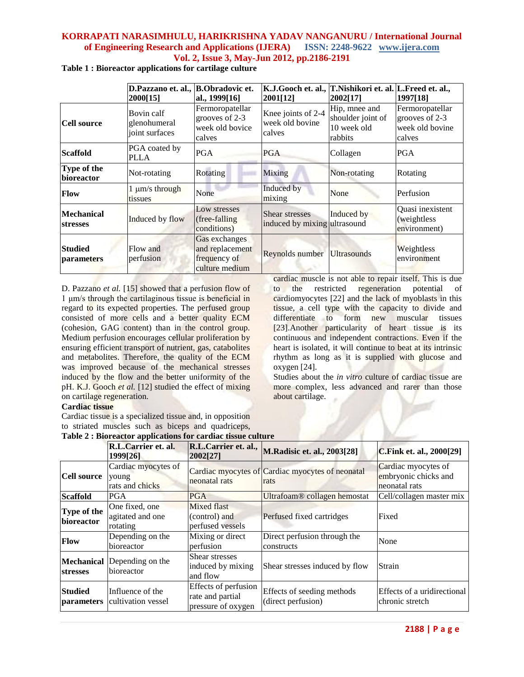|                                      | D.Pazzano et. al., B.Obradovic et.<br>2000[15] | al., 1999[16]                                                      | K.J.Gooch et. al., T.Nishikori et. al. L.Freed et. al.,<br>2001[12] | 2002[17]                                                     | 1997[18]                                                       |
|--------------------------------------|------------------------------------------------|--------------------------------------------------------------------|---------------------------------------------------------------------|--------------------------------------------------------------|----------------------------------------------------------------|
| Cell source                          | Bovin calf<br>glenohumeral<br>joint surfaces   | Fermoropatellar<br>grooves of 2-3<br>week old bovice<br>calves     | Knee joints of 2-4<br>week old bovine<br>calves                     | Hip, mnee and<br>shoulder joint of<br>10 week old<br>rabbits | Fermoropatellar<br>grooves of 2-3<br>week old bovine<br>calves |
| <b>Scaffold</b>                      | PGA coated by<br><b>PLLA</b>                   | PGA                                                                | <b>PGA</b>                                                          | Collagen                                                     | <b>PGA</b>                                                     |
| Type of the<br>bioreactor            | Not-rotating                                   | Rotating                                                           | Mixing                                                              | Non-rotating                                                 | Rotating                                                       |
| Flow                                 | $1 \mu m/s$ through<br>tissues                 | None                                                               | Induced by<br>mixing                                                | None                                                         | Perfusion                                                      |
| <b>Mechanical</b><br><b>stresses</b> | Induced by flow                                | Low stresses<br>(free-falling)<br>conditions)                      | Shear stresses<br>induced by mixing ultrasound                      | Induced by                                                   | Quasi inexistent<br><i>(weightless)</i><br>environment)        |
| <b>Studied</b><br>parameters         | Flow and<br>perfusion                          | Gas exchanges<br>and replacement<br>frequency of<br>culture medium | Reynolds number Ultrasounds                                         |                                                              | Weightless<br>environment                                      |
|                                      |                                                |                                                                    |                                                                     | cardiac muscle is not able to repair itself. This is due     |                                                                |

**Table 1 : Bioreactor applications for cartilage culture**

D. Pazzano *et al.* [15] showed that a perfusion flow of 1 μm/s through the cartilaginous tissue is beneficial in regard to its expected properties. The perfused group consisted of more cells and a better quality ECM (cohesion, GAG content) than in the control group. Medium perfusion encourages cellular proliferation by ensuring efficient transport of nutrient, gas, catabolites and metabolites. Therefore, the quality of the ECM was improved because of the mechanical stresses induced by the flow and the better uniformity of the pH. K.J. Gooch *et al.* [12] studied the effect of mixing on cartilage regeneration.

# **Cardiac tissue**

Cardiac tissue is a specialized tissue and, in opposition to striated muscles such as biceps and quadriceps, cardiac muscle is not able to repair itself. This is due to the restricted regeneration potential of cardiomyocytes [22] and the lack of myoblasts in this tissue, a cell type with the capacity to divide and differentiate to form new muscular tissues [23].Another particularity of heart tissue is its continuous and independent contractions. Even if the heart is isolated, it will continue to beat at its intrinsic rhythm as long as it is supplied with glucose and oxygen [24].

Studies about the *in vitro* culture of cardiac tissue are more complex, less advanced and rarer than those about cartilage.

| <b>Table 2: Bioreactor applications for cardiac tissue culture</b> |                                                         |                                                                |                                                          |                                                              |
|--------------------------------------------------------------------|---------------------------------------------------------|----------------------------------------------------------------|----------------------------------------------------------|--------------------------------------------------------------|
|                                                                    | R.L.Carrier et. al.<br>1999[26]                         | R.L.Carrier et. al.,<br>2002[27]                               | M.Radisic et. al., 2003[28]                              | <b>C.Fink et. al., 2000[29]</b>                              |
| <b>Cell source</b>                                                 | Cardiac myocytes of<br>young<br>rats and chicks         | neonatal rats                                                  | Cardiac myocytes of Cardiac myocytes of neonatal<br>rats | Cardiac myocytes of<br>embryonic chicks and<br>neonatal rats |
| <b>Scaffold</b>                                                    | PGA                                                     | <b>PGA</b>                                                     | Ultrafoam® collagen hemostat                             | Cell/collagen master mix                                     |
| Type of the<br>bioreactor                                          | One fixed, one<br>agitated and one<br>rotating          | Mixed flast<br>(control) and<br>perfused vessels               | Perfused fixed cartridges                                | Fixed                                                        |
| <b>Flow</b>                                                        | Depending on the<br>bioreactor                          | Mixing or direct<br>perfusion                                  | Direct perfusion through the<br>constructs               | None                                                         |
| <b>stresses</b>                                                    | <b>Mechanical</b> Depending on the<br><b>bioreactor</b> | Shear stresses<br>induced by mixing<br>and flow                | Shear stresses induced by flow                           | Strain                                                       |
| <b>Studied</b><br><i>parameters</i>                                | Influence of the<br>cultivation vessel                  | Effects of perfusion<br>rate and partial<br>pressure of oxygen | Effects of seeding methods<br>(direct perfusion)         | Effects of a uridirectional<br>chronic stretch               |

**Table 2 : Bioreactor applications for cardiac tissue culture**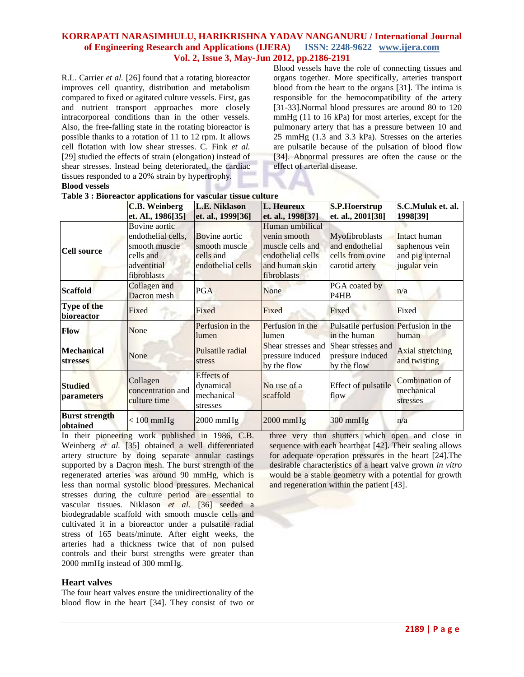R.L. Carrier *et al.* [26] found that a rotating bioreactor improves cell quantity, distribution and metabolism compared to fixed or agitated culture vessels. First, gas and nutrient transport approaches more closely intracorporeal conditions than in the other vessels. Also, the free-falling state in the rotating bioreactor is possible thanks to a rotation of 11 to 12 rpm. It allows cell flotation with low shear stresses. C. Fink *et al.* [29] studied the effects of strain (elongation) instead of shear stresses. Instead being deteriorated, the cardiac tissues responded to a 20% strain by hypertrophy. **Blood vessels**

Blood vessels have the role of connecting tissues and organs together. More specifically, arteries transport blood from the heart to the organs [31]. The intima is responsible for the hemocompatibility of the artery [31-33].Normal blood pressures are around 80 to 120 mmHg (11 to 16 kPa) for most arteries, except for the pulmonary artery that has a pressure between 10 and 25 mmHg (1.3 and 3.3 kPa). Stresses on the arteries are pulsatile because of the pulsation of blood flow [34]. Abnormal pressures are often the cause or the effect of arterial disease.

|                                      | <b>C.B. Weinberg</b>                                     | <b>L.E. Niklason</b>                              | L. Heureux                                                             | <b>S.P.Hoerstrup</b>                                  | S.C.Muluk et. al.                                  |
|--------------------------------------|----------------------------------------------------------|---------------------------------------------------|------------------------------------------------------------------------|-------------------------------------------------------|----------------------------------------------------|
|                                      | et. Al., 1986[35]                                        | et. al., 1999[36]                                 | et. al., 1998[37]                                                      | et. al., 2001[38]                                     | 1998[39]                                           |
|                                      | Bovine aortic<br>endothelial cells,                      | Bovine aortic                                     | Human umbilical<br>venin smooth                                        | Myofibroblasts                                        | Intact human                                       |
| <b>Cell source</b>                   | smooth muscle<br>cells and<br>adventitial<br>fibroblasts | smooth muscle<br>cells and<br>endothelial cells   | muscle cells and<br>endothelial cells<br>and human skin<br>fibroblasts | and endothelial<br>cells from ovine<br>carotid artery | saphenous vein<br>and pig internal<br>jugular vein |
| <b>Scaffold</b>                      | Collagen and<br>Dacron mesh                              | <b>PGA</b>                                        | None                                                                   | PGA coated by<br>P <sub>4</sub> H <sub>B</sub>        | n/a                                                |
| Type of the<br>bioreactor            | Fixed                                                    | Fixed                                             | Fixed                                                                  | Fixed                                                 | Fixed                                              |
| Flow                                 | None                                                     | Perfusion in the<br>lumen                         | Perfusion in the<br>lumen                                              | Pulsatile perfusion Perfusion in the<br>in the human  | lhuman                                             |
| <b>Mechanical</b><br><b>stresses</b> | None                                                     | Pulsatile radial<br>stress                        | Shear stresses and<br>pressure induced<br>by the flow                  | Shear stresses and<br>pressure induced<br>by the flow | Axial stretching<br>and twisting                   |
| <b>Studied</b><br><b>parameters</b>  | Collagen<br>concentration and<br>culture time            | Effects of<br>dynamical<br>mechanical<br>stresses | No use of a<br>scaffold                                                | Effect of pulsatile<br>flow                           | Combination of<br>mechanical<br>stresses           |
| <b>Burst strength</b><br>obtained    | $< 100$ mmHg                                             | $2000$ mmHg                                       | $2000$ mmHg                                                            | $300 \text{ mmHg}$                                    | n/a                                                |

**Table 3 : Bioreactor applications for vascular tissue culture**

In their pioneering work published in 1986, C.B. Weinberg *et al.* [35] obtained a well differentiated artery structure by doing separate annular castings supported by a Dacron mesh. The burst strength of the regenerated arteries was around 90 mmHg, which is less than normal systolic blood pressures. Mechanical stresses during the culture period are essential to vascular tissues. Niklason *et al.* [36] seeded a biodegradable scaffold with smooth muscle cells and cultivated it in a bioreactor under a pulsatile radial stress of 165 beats/minute. After eight weeks, the arteries had a thickness twice that of non pulsed controls and their burst strengths were greater than 2000 mmHg instead of 300 mmHg.

# **Heart valves**

The four heart valves ensure the unidirectionality of the blood flow in the heart [34]. They consist of two or three very thin shutters which open and close in sequence with each heartbeat [42]. Their sealing allows for adequate operation pressures in the heart [24].The desirable characteristics of a heart valve grown *in vitro* would be a stable geometry with a potential for growth and regeneration within the patient [43].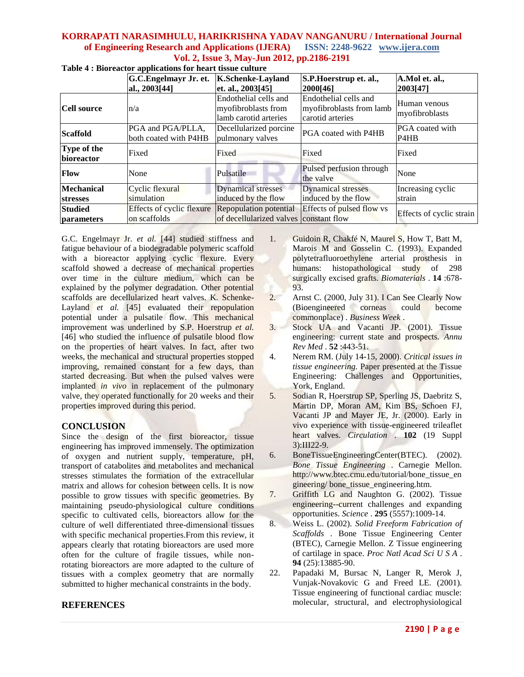|                                     | G.C. Engelmayr Jr. et.                           | <b>K.Schenke-Layland</b>                                              | S.P. Hoerstrup et. al.,                                               | A.Mol et. al.,                                   |
|-------------------------------------|--------------------------------------------------|-----------------------------------------------------------------------|-----------------------------------------------------------------------|--------------------------------------------------|
|                                     | al., 2003[44]                                    | et. al., 2003[45]                                                     | 2000[46]                                                              | 2003[47]                                         |
| <b>Cell source</b>                  | n/a                                              | Endothelial cells and<br>myofibroblasts from<br>lamb carotid arteries | Endothelial cells and<br>myofibroblasts from lamb<br>carotid arteries | Human venous<br>myofibroblasts                   |
| <b>Scaffold</b>                     | PGA and PGA/PLLA,<br>both coated with P4HB       | Decellularized porcine<br>pulmonary valves                            | PGA coated with P4HB                                                  | PGA coated with<br>P <sub>4</sub> H <sub>B</sub> |
| Type of the<br>bioreactor           | Fixed                                            | Fixed                                                                 | Fixed                                                                 | Fixed                                            |
| <b>Flow</b>                         | None                                             | Pulsatile                                                             | Pulsed perfusion through<br>the valve                                 | None                                             |
| <b>Mechanical</b>                   | Cyclic flexural                                  | <b>Dynamical stresses</b>                                             | <b>Dynamical stresses</b>                                             | Increasing cyclic                                |
| <b>stresses</b>                     | simulation                                       | induced by the flow                                                   | induced by the flow                                                   | strain                                           |
| <b>Studied</b><br><i>parameters</i> | <b>Effects of cyclic flexure</b><br>on scaffolds | Repopulation potential<br>of decellularized valves constant flow      | Effects of pulsed flow vs                                             | Effects of cyclic strain                         |

**Table 4 : Bioreactor applications for heart tissue culture**

G.C. Engelmayr Jr. *et al.* [44] studied stiffness and fatigue behaviour of a biodegradable polymeric scaffold with a bioreactor applying cyclic flexure. Every scaffold showed a decrease of mechanical properties over time in the culture medium, which can be explained by the polymer degradation. Other potential scaffolds are decellularized heart valves. K. Schenke-Layland *et al.* [45] evaluated their repopulation potential under a pulsatile flow. This mechanical improvement was underlined by S.P. Hoerstrup *et al.* [46] who studied the influence of pulsatile blood flow on the properties of heart valves. In fact, after two weeks, the mechanical and structural properties stopped improving, remained constant for a few days, than started decreasing. But when the pulsed valves were implanted *in vivo* in replacement of the pulmonary valve, they operated functionally for 20 weeks and their properties improved during this period.

# **CONCLUSION**

Since the design of the first bioreactor, tissue engineering has improved immensely. The optimization of oxygen and nutrient supply, temperature, pH, transport of catabolites and metabolites and mechanical stresses stimulates the formation of the extracellular matrix and allows for cohesion between cells. It is now possible to grow tissues with specific geometries. By maintaining pseudo-physiological culture conditions specific to cultivated cells, bioreactors allow for the culture of well differentiated three-dimensional tissues with specific mechanical properties.From this review, it appears clearly that rotating bioreactors are used more often for the culture of fragile tissues, while nonrotating bioreactors are more adapted to the culture of tissues with a complex geometry that are normally submitted to higher mechanical constraints in the body.

# **REFERENCES**

- 1. Guidoin R, Chakfé N, Maurel S, How T, Batt M, Marois M and Gosselin C. (1993). Expanded polytetrafluoroethylene arterial prosthesis in humans: histopathological study of 298 surgically excised grafts. *Biomaterials* . **14** :678- 93.
- 2. Arnst C. (2000, July 31). I Can See Clearly Now (Bioengineered corneas could become commonplace) *. Business Week* .
- 3. Stock UA and Vacanti JP. (2001). Tissue engineering: current state and prospects. *Annu Rev Med* . **52** :443-51.
- 4. Nerem RM. (July 14-15, 2000). *Critical issues in tissue engineering.* Paper presented at the Tissue Engineering: Challenges and Opportunities, York, England.
- 5. Sodian R, Hoerstrup SP, Sperling JS, Daebritz S, Martin DP, Moran AM, Kim BS, Schoen FJ, Vacanti JP and Mayer JE, Jr. (2000). Early in vivo experience with tissue-engineered trileaflet heart valves. *Circulation* . **102** (19 Suppl 3):III22-9.
- 6. BoneTissueEngineeringCenter(BTEC). (2002). *Bone Tissue Engineering* . Carnegie Mellon. http://www.btec.cmu.edu/tutorial/bone\_tissue\_en gineering/ bone\_tissue\_engineering.htm.
- 7. Griffith LG and Naughton G. (2002). Tissue engineering--current challenges and expanding opportunities. *Science* . **295** (5557):1009-14.
- 8. Weiss L. (2002). *Solid Freeform Fabrication of Scaffolds* . Bone Tissue Engineering Center (BTEC), Carnegie Mellon. Z Tissue engineering of cartilage in space. *Proc Natl Acad Sci U S A* . **94** (25):13885-90.
- 22. Papadaki M, Bursac N, Langer R, Merok J, Vunjak-Novakovic G and Freed LE. (2001). Tissue engineering of functional cardiac muscle: molecular, structural, and electrophysiological